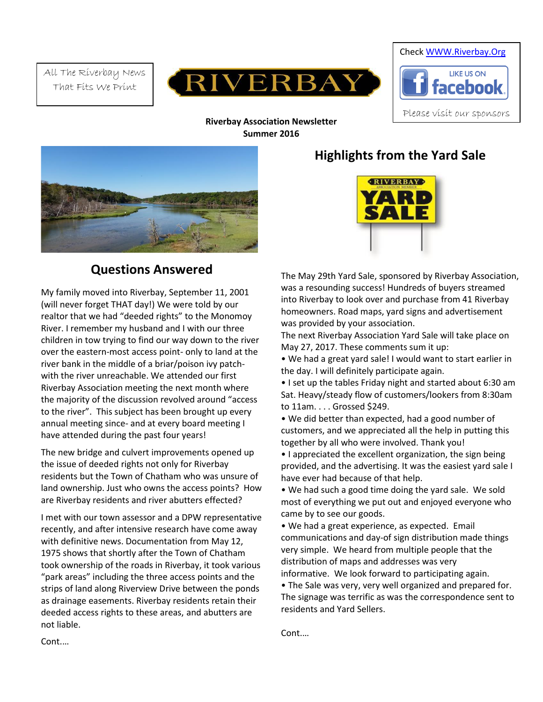All The Riverbay News That Fits We Print





**Riverbay Association Newsletter Summer 2016**



# **Questions Answered**

My family moved into Riverbay, September 11, 2001 (will never forget THAT day!) We were told by our realtor that we had "deeded rights" to the Monomoy River. I remember my husband and I with our three children in tow trying to find our way down to the river over the eastern-most access point- only to land at the river bank in the middle of a briar/poison ivy patchwith the river unreachable. We attended our first Riverbay Association meeting the next month where the majority of the discussion revolved around "access to the river". This subject has been brought up every annual meeting since- and at every board meeting I have attended during the past four years!

The new bridge and culvert improvements opened up the issue of deeded rights not only for Riverbay residents but the Town of Chatham who was unsure of land ownership. Just who owns the access points? How are Riverbay residents and river abutters effected?

I met with our town assessor and a DPW representative recently, and after intensive research have come away with definitive news. Documentation from May 12, 1975 shows that shortly after the Town of Chatham took ownership of the roads in Riverbay, it took various "park areas" including the three access points and the strips of land along Riverview Drive between the ponds as drainage easements. Riverbay residents retain their deeded access rights to these areas, and abutters are not liable.

# **Highlights from the Yard Sale**



The May 29th Yard Sale, sponsored by Riverbay Association, was a resounding success! Hundreds of buyers streamed into Riverbay to look over and purchase from 41 Riverbay homeowners. Road maps, yard signs and advertisement was provided by your association.

The next Riverbay Association Yard Sale will take place on May 27, 2017. These comments sum it up:

• We had a great yard sale! I would want to start earlier in the day. I will definitely participate again.

• I set up the tables Friday night and started about 6:30 am Sat. Heavy/steady flow of customers/lookers from 8:30am to 11am. . . . Grossed \$249.

• We did better than expected, had a good number of customers, and we appreciated all the help in putting this together by all who were involved. Thank you!

• I appreciated the excellent organization, the sign being provided, and the advertising. It was the easiest yard sale I have ever had because of that help.

• We had such a good time doing the yard sale. We sold most of everything we put out and enjoyed everyone who came by to see our goods.

• We had a great experience, as expected. Email communications and day-of sign distribution made things very simple. We heard from multiple people that the distribution of maps and addresses was very informative. We look forward to participating again.

• The Sale was very, very well organized and prepared for. The signage was terrific as was the correspondence sent to residents and Yard Sellers.

Cont.…

Cont.…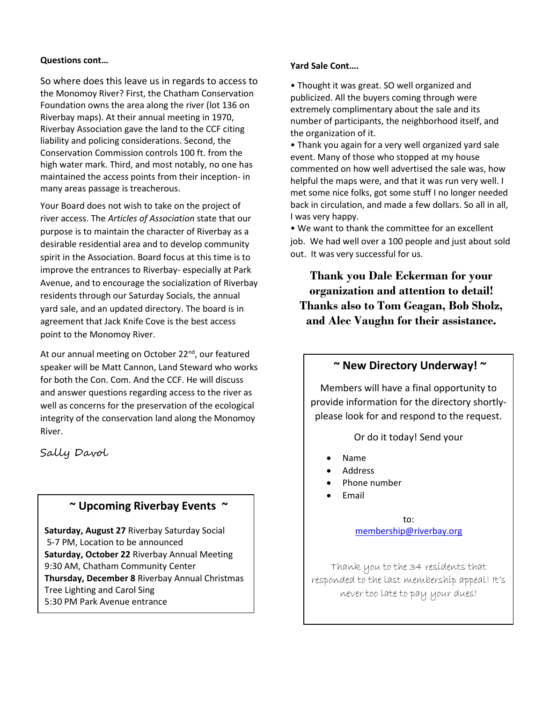#### **Questions cont…**

So where does this leave us in regards to access to the Monomoy River? First, the Chatham Conservation Foundation owns the area along the river (lot 136 on Riverbay maps). At their annual meeting in 1970, Riverbay Association gave the land to the CCF citing liability and policing considerations. Second, the Conservation Commission controls 100 ft. from the high water mark. Third, and most notably, no one has maintained the access points from their inception- in many areas passage is treacherous.

Your Board does not wish to take on the project of river access. The *Articles of Association* state that our purpose is to maintain the character of Riverbay as a desirable residential area and to develop community spirit in the Association. Board focus at this time is to improve the entrances to Riverbay- especially at Park Avenue, and to encourage the socialization of Riverbay residents through our Saturday Socials, the annual yard sale, and an updated directory. The board is in agreement that Jack Knife Cove is the best access point to the Monomoy River.

At our annual meeting on October 22<sup>nd</sup>, our featured speaker will be Matt Cannon, Land Steward who works for both the Con. Com. And the CCF. He will discuss and answer questions regarding access to the river as well as concerns for the preservation of the ecological integrity of the conservation land along the Monomoy River.

Sally Davol

# **~ Upcoming Riverbay Events ~**

**Saturday, August 27** Riverbay Saturday Social 5-7 PM, Location to be announced **Saturday, October 22** Riverbay Annual Meeting 9:30 AM, Chatham Community Center **Thursday, December 8** Riverbay Annual Christmas Tree Lighting and Carol Sing 5:30 PM Park Avenue entrance

### **Yard Sale Cont….**

• Thought it was great. SO well organized and publicized. All the buyers coming through were extremely complimentary about the sale and its number of participants, the neighborhood itself, and the organization of it.

• Thank you again for a very well organized yard sale event. Many of those who stopped at my house commented on how well advertised the sale was, how helpful the maps were, and that it was run very well. I met some nice folks, got some stuff I no longer needed back in circulation, and made a few dollars. So all in all, I was very happy.

• We want to thank the committee for an excellent job. We had well over a 100 people and just about sold out. It was very successful for us.

**Thank you Dale Eckerman for your organization and attention to detail! Thanks also to Tom Geagan, Bob Sholz, and Alec Vaughn for their assistance.**

## **~ New Directory Underway! ~**

Members will have a final opportunity to provide information for the directory shortlyplease look for and respond to the request.

Or do it today! Send your

- Name
- Address
- Phone number
- Email

to: [membership@riverbay.org](mailto:membership@riverbay.org)

Thank you to the 34 residents that responded to the last membership appeal! It's never too late to pay your dues!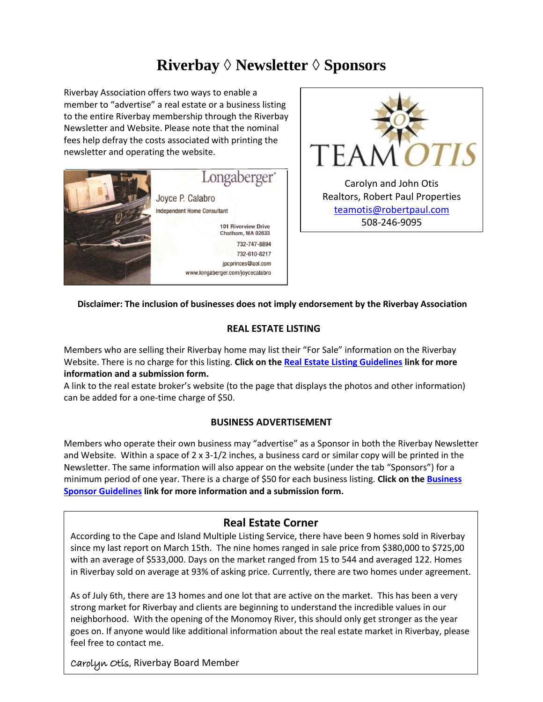# **Riverbay** *◊* **Newsletter** *◊* **Sponsors**

Riverbay Association offers two ways to enable a member to "advertise" a real estate or a business listing to the entire Riverbay membership through the Riverbay Newsletter and Website. Please note that the nominal fees help defray the costs associated with printing the newsletter and operating the website.





### **Disclaimer: The inclusion of businesses does not imply endorsement by the Riverbay Association**

### **REAL ESTATE LISTING**

Members who are selling their Riverbay home may list their "For Sale" information on the Riverbay Website. There is no charge for this listing. **Click on th[e Real Estate Listing Guidelines](http://riverbay.org/documents/Real%20Estate%20Listing%20Guidelines.pdf) link for more information and a submission form.**

A link to the real estate broker's website (to the page that displays the photos and other information) can be added for a one-time charge of \$50.

### **BUSINESS ADVERTISEMENT**

Members who operate their own business may "advertise" as a Sponsor in both the Riverbay Newsletter and Website. Within a space of 2 x 3-1/2 inches, a business card or similar copy will be printed in the Newsletter. The same information will also appear on the website (under the tab "Sponsors") for a minimum period of one year. There is a charge of \$50 for each business listing. **Click on th[e Business](http://riverbay.org/documents/Business%20Sponsor%20Guidelines.pdf)  [Sponsor Guidelines](http://riverbay.org/documents/Business%20Sponsor%20Guidelines.pdf) link for more information and a submission form.**

# **Real Estate Corner**

According to the Cape and Island Multiple Listing Service, there have been 9 homes sold in Riverbay since my last report on March 15th. The nine homes ranged in sale price from \$380,000 to \$725,00 with an average of \$533,000. Days on the market ranged from 15 to 544 and averaged 122. Homes in Riverbay sold on average at 93% of asking price. Currently, there are two homes under agreement.

As of July 6th, there are 13 homes and one lot that are active on the market. This has been a very strong market for Riverbay and clients are beginning to understand the incredible values in our neighborhood. With the opening of the Monomoy River, this should only get stronger as the year goes on. If anyone would like additional information about the real estate market in Riverbay, please feel free to contact me.

Carolyn Otis, Riverbay Board Member